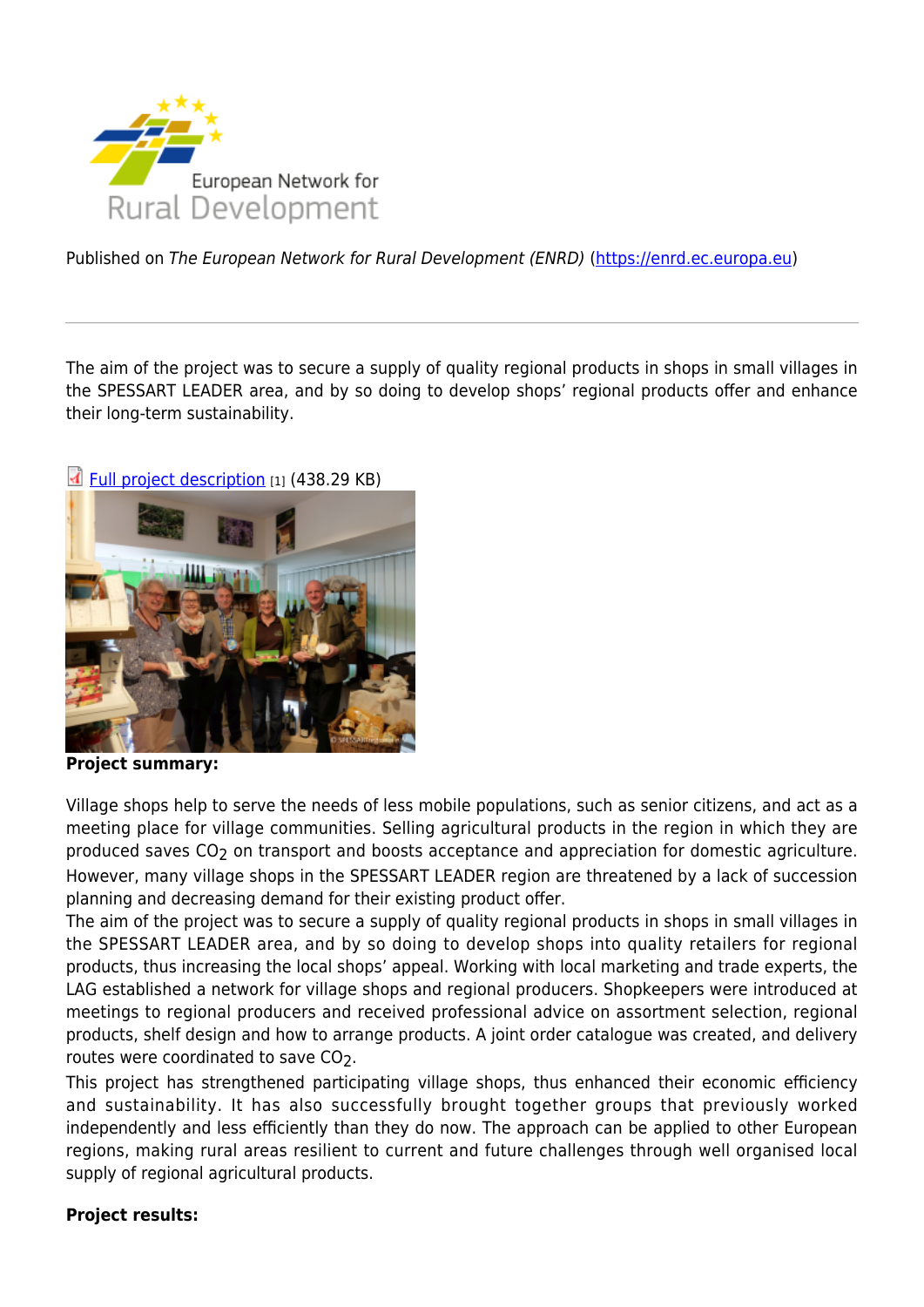

Published on The European Network for Rural Development (ENRD) [\(https://enrd.ec.europa.eu](https://enrd.ec.europa.eu))

The aim of the project was to secure a supply of quality regional products in shops in small villages in the SPESSART LEADER area, and by so doing to develop shops' regional products offer and enhance their long-term sustainability.





**Project summary:** 

Village shops help to serve the needs of less mobile populations, such as senior citizens, and act as a meeting place for village communities. Selling agricultural products in the region in which they are produced saves CO<sub>2</sub> on transport and boosts acceptance and appreciation for domestic agriculture. However, many village shops in the SPESSART LEADER region are threatened by a lack of succession planning and decreasing demand for their existing product offer.

The aim of the project was to secure a supply of quality regional products in shops in small villages in the SPESSART LEADER area, and by so doing to develop shops into quality retailers for regional products, thus increasing the local shops' appeal. Working with local marketing and trade experts, the LAG established a network for village shops and regional producers. Shopkeepers were introduced at meetings to regional producers and received professional advice on assortment selection, regional products, shelf design and how to arrange products. A joint order catalogue was created, and delivery routes were coordinated to save CO2.

This project has strengthened participating village shops, thus enhanced their economic efficiency and sustainability. It has also successfully brought together groups that previously worked independently and less efficiently than they do now. The approach can be applied to other European regions, making rural areas resilient to current and future challenges through well organised local supply of regional agricultural products.

## **Project results:**